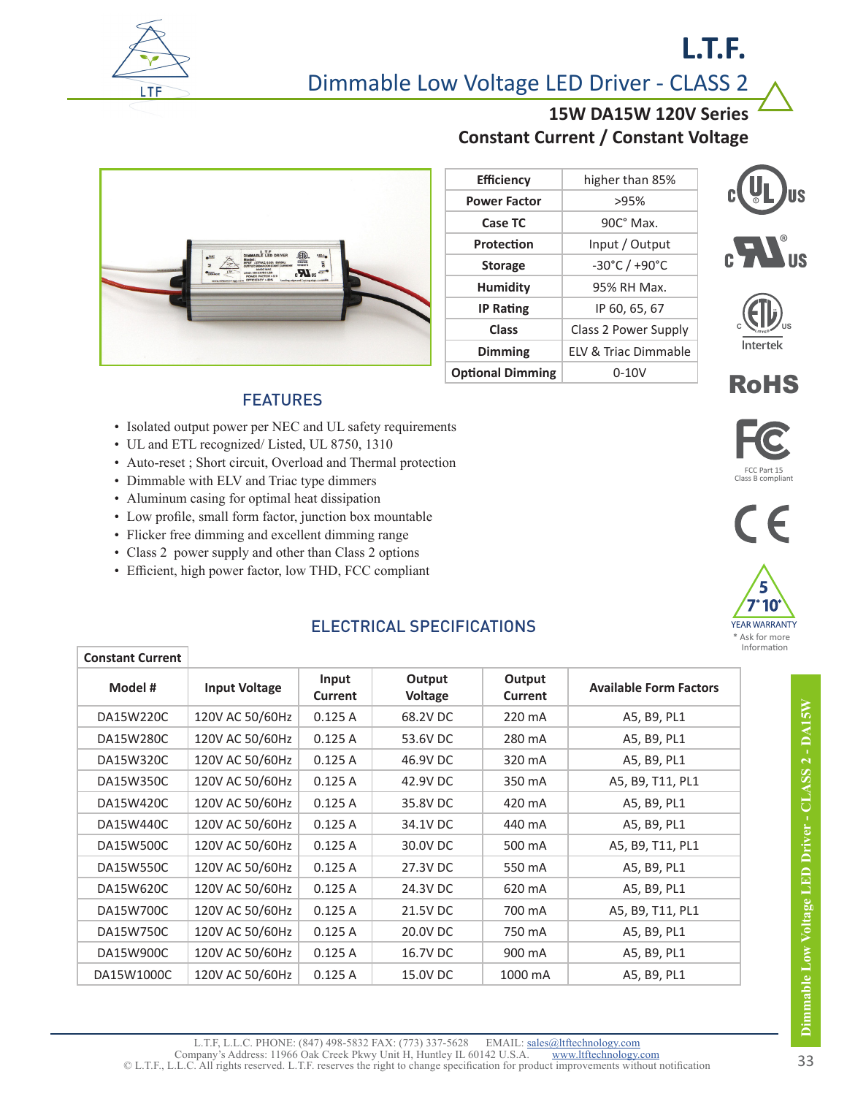

# Dimmable Low Voltage LED Driver - CLASS 2

### **15W DA15W 120V Series Constant Current / Constant Voltage**

**L.T.F.**

R

®

LISTED **C US**

**Intertek** 

RoHS

FCC Part 15<br>Class B complian

 $\in$ 



| <b>Efficiency</b>       | higher than 85%                   |
|-------------------------|-----------------------------------|
| <b>Power Factor</b>     | >95%                              |
| Case TC                 | $90C^{\circ}$ Max.                |
| Protection              | Input / Output                    |
| <b>Storage</b>          | $-30^{\circ}$ C / $+90^{\circ}$ C |
| <b>Humidity</b>         | 95% RH Max.                       |
| <b>IP Rating</b>        | IP 60, 65, 67                     |
| Class                   | Class 2 Power Supply              |
| <b>Dimming</b>          | <b>FIV &amp; Triac Dimmable</b>   |
| <b>Optional Dimming</b> | $0 - 10V$                         |

#### FEATURES

- Isolated output power per NEC and UL safety requirements
- UL and ETL recognized/ Listed, UL 8750, 1310
- Auto-reset ; Short circuit, Overload and Thermal protection
- Dimmable with ELV and Triac type dimmers
- Aluminum casing for optimal heat dissipation
- Low profile, small form factor, junction box mountable
- Flicker free dimming and excellent dimming range
- Class 2 power supply and other than Class 2 options
- Efficient, high power factor, low THD, FCC compliant



| <b>Constant Current</b> |                      |                         |                          |                          |                               |
|-------------------------|----------------------|-------------------------|--------------------------|--------------------------|-------------------------------|
| Model #                 | <b>Input Voltage</b> | Input<br><b>Current</b> | Output<br><b>Voltage</b> | Output<br><b>Current</b> | <b>Available Form Factors</b> |
| DA15W220C               | 120V AC 50/60Hz      | 0.125A                  | 68.2V DC                 | 220 mA                   | A5, B9, PL1                   |
| DA15W280C               | 120V AC 50/60Hz      | 0.125A                  | 53.6V DC                 | 280 mA                   | A5, B9, PL1                   |
| DA15W320C               | 120V AC 50/60Hz      | 0.125A                  | 46.9V DC                 | 320 mA                   | A5, B9, PL1                   |
| DA15W350C               | 120V AC 50/60Hz      | 0.125A                  | 42.9V DC                 | 350 mA                   | A5, B9, T11, PL1              |
| DA15W420C               | 120V AC 50/60Hz      | 0.125A                  | 35.8V DC                 | 420 mA                   | A5, B9, PL1                   |
| DA15W440C               | 120V AC 50/60Hz      | 0.125A                  | 34.1V DC                 | 440 mA                   | A5, B9, PL1                   |
| DA15W500C               | 120V AC 50/60Hz      | 0.125A                  | 30.0V DC                 | 500 mA                   | A5, B9, T11, PL1              |
| DA15W550C               | 120V AC 50/60Hz      | 0.125A                  | 27.3V DC                 | 550 mA                   | A5, B9, PL1                   |
| DA15W620C               | 120V AC 50/60Hz      | 0.125A                  | 24.3V DC                 | 620 mA                   | A5, B9, PL1                   |
| DA15W700C               | 120V AC 50/60Hz      | 0.125A                  | 21.5V DC                 | 700 mA                   | A5, B9, T11, PL1              |
| DA15W750C               | 120V AC 50/60Hz      | 0.125A                  | 20.0V DC                 | 750 mA                   | A5, B9, PL1                   |
| DA15W900C               | 120V AC 50/60Hz      | 0.125A                  | 16.7V DC                 | 900 mA                   | A5, B9, PL1                   |
| DA15W1000C              | 120V AC 50/60Hz      | 0.125A                  | 15.0V DC                 | 1000 mA                  | A5, B9, PL1                   |

## ELECTRICAL SPECIFICATIONS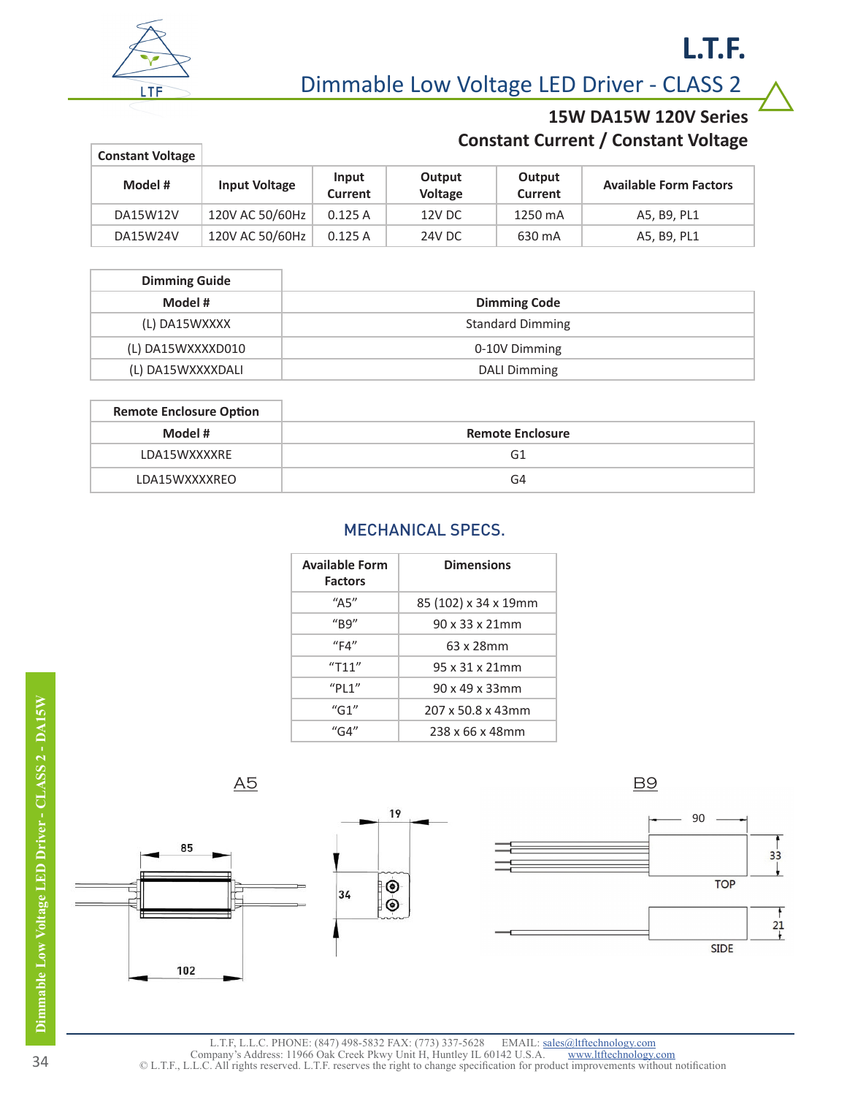

Dimmable Low Voltage LED Driver - CLASS 2

## **15W DA15W 120V Series Constant Current / Constant Voltage**

**L.T.F.**

| <b>Constant Voltage</b> |                      |                  |                          |                   |                               |
|-------------------------|----------------------|------------------|--------------------------|-------------------|-------------------------------|
| Model #                 | <b>Input Voltage</b> | Input<br>Current | Output<br><b>Voltage</b> | Output<br>Current | <b>Available Form Factors</b> |
| DA15W12V                | 120V AC 50/60Hz      | 0.125A           | 12V DC                   | 1250 mA           | A5, B9, PL1                   |
| DA15W24V                | 120V AC 50/60Hz      | 0.125A           | 24V DC                   | 630 mA            | A5, B9, PL1                   |

| <b>Dimming Guide</b> |                         |
|----------------------|-------------------------|
| Model #              | <b>Dimming Code</b>     |
| (L) DA15WXXXX        | <b>Standard Dimming</b> |
| (L) DA15WXXXXD010    | 0-10V Dimming           |
| (L) DA15WXXXXDALI    | DALI Dimming            |

| <b>Remote Enclosure Option</b> |                         |
|--------------------------------|-------------------------|
| Model #                        | <b>Remote Enclosure</b> |
| LDA15WXXXXRE                   | G1                      |
| LDA15WXXXXREO                  | G4                      |

#### MECHANICAL SPECS.

| <b>Available Form</b><br><b>Factors</b> | <b>Dimensions</b>           |
|-----------------------------------------|-----------------------------|
| "A5"                                    | 85 (102) x 34 x 19mm        |
| ''B9''                                  | $90 \times 33 \times 21$ mm |
| "FA"                                    | 63 x 28mm                   |
| "T11"                                   | 95 x 31 x 21 mm             |
| "P11"                                   | 90 x 49 x 33mm              |
| $^{\prime\prime}$ G1"                   | 207 x 50.8 x 43mm           |
| "G4"                                    | 238 x 66 x 48mm             |